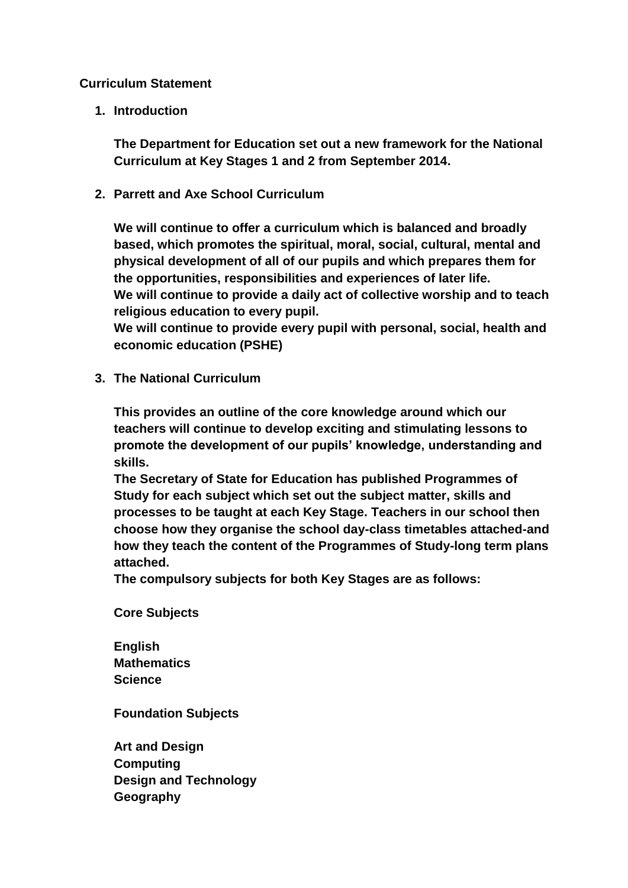## **Curriculum Statement**

**1. Introduction**

**The Department for Education set out a new framework for the National Curriculum at Key Stages 1 and 2 from September 2014.**

**2. Parrett and Axe School Curriculum**

**We will continue to offer a curriculum which is balanced and broadly based, which promotes the spiritual, moral, social, cultural, mental and physical development of all of our pupils and which prepares them for the opportunities, responsibilities and experiences of later life. We will continue to provide a daily act of collective worship and to teach religious education to every pupil.**

**We will continue to provide every pupil with personal, social, health and economic education (PSHE)**

**3. The National Curriculum**

**This provides an outline of the core knowledge around which our teachers will continue to develop exciting and stimulating lessons to promote the development of our pupils' knowledge, understanding and skills.**

**The Secretary of State for Education has published Programmes of Study for each subject which set out the subject matter, skills and processes to be taught at each Key Stage. Teachers in our school then choose how they organise the school day-class timetables attached-and how they teach the content of the Programmes of Study-long term plans attached.**

**The compulsory subjects for both Key Stages are as follows:**

**Core Subjects**

**English Mathematics Science**

**Foundation Subjects**

**Art and Design Computing Design and Technology Geography**